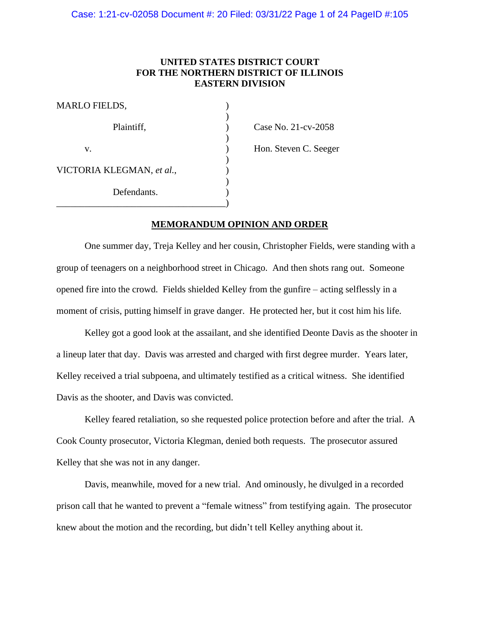# **UNITED STATES DISTRICT COURT FOR THE NORTHERN DISTRICT OF ILLINOIS EASTERN DIVISION**

)

)

)

| <b>MARLO FIELDS,</b>      |  |
|---------------------------|--|
| Plaintiff,                |  |
| V.                        |  |
| VICTORIA KLEGMAN, et al., |  |
| Defendants.               |  |
|                           |  |

 $P$  Case No. 21-cv-2058

) Hon. Steven C. Seeger

# **MEMORANDUM OPINION AND ORDER**

One summer day, Treja Kelley and her cousin, Christopher Fields, were standing with a group of teenagers on a neighborhood street in Chicago. And then shots rang out. Someone opened fire into the crowd. Fields shielded Kelley from the gunfire – acting selflessly in a moment of crisis, putting himself in grave danger. He protected her, but it cost him his life.

Kelley got a good look at the assailant, and she identified Deonte Davis as the shooter in a lineup later that day. Davis was arrested and charged with first degree murder. Years later, Kelley received a trial subpoena, and ultimately testified as a critical witness. She identified Davis as the shooter, and Davis was convicted.

Kelley feared retaliation, so she requested police protection before and after the trial. A Cook County prosecutor, Victoria Klegman, denied both requests. The prosecutor assured Kelley that she was not in any danger.

Davis, meanwhile, moved for a new trial. And ominously, he divulged in a recorded prison call that he wanted to prevent a "female witness" from testifying again. The prosecutor knew about the motion and the recording, but didn't tell Kelley anything about it.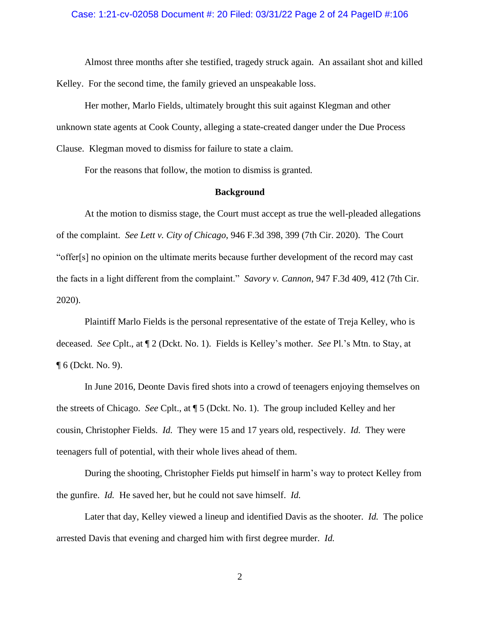## Case: 1:21-cv-02058 Document #: 20 Filed: 03/31/22 Page 2 of 24 PageID #:106

Almost three months after she testified, tragedy struck again. An assailant shot and killed Kelley. For the second time, the family grieved an unspeakable loss.

Her mother, Marlo Fields, ultimately brought this suit against Klegman and other unknown state agents at Cook County, alleging a state-created danger under the Due Process Clause. Klegman moved to dismiss for failure to state a claim.

For the reasons that follow, the motion to dismiss is granted.

#### **Background**

At the motion to dismiss stage, the Court must accept as true the well-pleaded allegations of the complaint. *See Lett v. City of Chicago*, 946 F.3d 398, 399 (7th Cir. 2020). The Court "offer[s] no opinion on the ultimate merits because further development of the record may cast the facts in a light different from the complaint." *Savory v. Cannon*, 947 F.3d 409, 412 (7th Cir. 2020).

Plaintiff Marlo Fields is the personal representative of the estate of Treja Kelley, who is deceased. *See* Cplt., at ¶ 2 (Dckt. No. 1). Fields is Kelley's mother. *See* Pl.'s Mtn. to Stay, at ¶ 6 (Dckt. No. 9).

In June 2016, Deonte Davis fired shots into a crowd of teenagers enjoying themselves on the streets of Chicago. *See* Cplt., at ¶ 5 (Dckt. No. 1). The group included Kelley and her cousin, Christopher Fields. *Id.* They were 15 and 17 years old, respectively. *Id.* They were teenagers full of potential, with their whole lives ahead of them.

During the shooting, Christopher Fields put himself in harm's way to protect Kelley from the gunfire. *Id.* He saved her, but he could not save himself. *Id.*

Later that day, Kelley viewed a lineup and identified Davis as the shooter. *Id.* The police arrested Davis that evening and charged him with first degree murder. *Id.*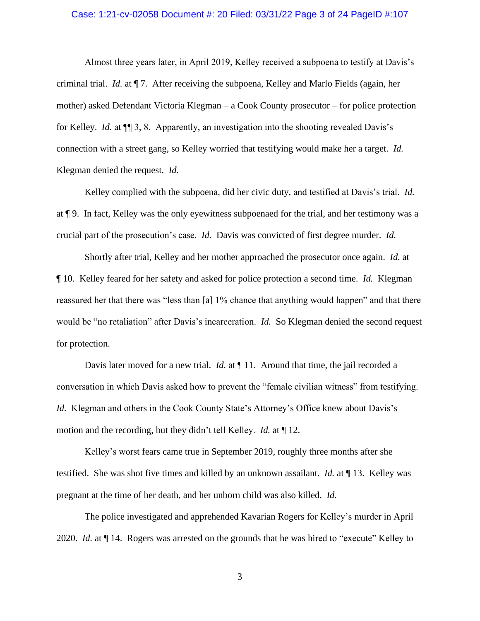#### Case: 1:21-cv-02058 Document #: 20 Filed: 03/31/22 Page 3 of 24 PageID #:107

Almost three years later, in April 2019, Kelley received a subpoena to testify at Davis's criminal trial. *Id.* at ¶ 7. After receiving the subpoena, Kelley and Marlo Fields (again, her mother) asked Defendant Victoria Klegman – a Cook County prosecutor – for police protection for Kelley. *Id.* at ¶¶ 3, 8. Apparently, an investigation into the shooting revealed Davis's connection with a street gang, so Kelley worried that testifying would make her a target. *Id.* Klegman denied the request. *Id.* 

Kelley complied with the subpoena, did her civic duty, and testified at Davis's trial. *Id.* at ¶ 9. In fact, Kelley was the only eyewitness subpoenaed for the trial, and her testimony was a crucial part of the prosecution's case. *Id.* Davis was convicted of first degree murder. *Id.*

Shortly after trial, Kelley and her mother approached the prosecutor once again. *Id.* at ¶ 10. Kelley feared for her safety and asked for police protection a second time. *Id.* Klegman reassured her that there was "less than [a] 1% chance that anything would happen" and that there would be "no retaliation" after Davis's incarceration. *Id.* So Klegman denied the second request for protection.

Davis later moved for a new trial. *Id.* at  $\P$  11. Around that time, the jail recorded a conversation in which Davis asked how to prevent the "female civilian witness" from testifying. *Id.* Klegman and others in the Cook County State's Attorney's Office knew about Davis's motion and the recording, but they didn't tell Kelley. *Id.* at ¶ 12.

Kelley's worst fears came true in September 2019, roughly three months after she testified. She was shot five times and killed by an unknown assailant. *Id.* at ¶ 13. Kelley was pregnant at the time of her death, and her unborn child was also killed. *Id.*

The police investigated and apprehended Kavarian Rogers for Kelley's murder in April 2020. *Id.* at ¶ 14. Rogers was arrested on the grounds that he was hired to "execute" Kelley to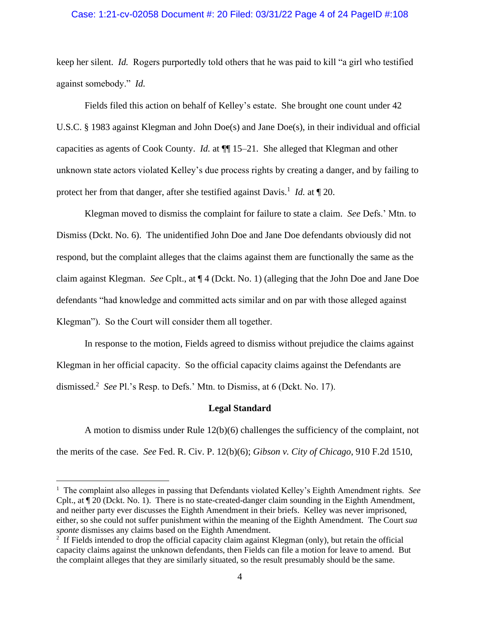#### Case: 1:21-cv-02058 Document #: 20 Filed: 03/31/22 Page 4 of 24 PageID #:108

keep her silent. *Id.* Rogers purportedly told others that he was paid to kill "a girl who testified against somebody." *Id.*

Fields filed this action on behalf of Kelley's estate. She brought one count under 42 U.S.C. § 1983 against Klegman and John Doe(s) and Jane Doe(s), in their individual and official capacities as agents of Cook County. *Id.* at ¶¶ 15–21. She alleged that Klegman and other unknown state actors violated Kelley's due process rights by creating a danger, and by failing to protect her from that danger, after she testified against Davis.<sup>1</sup> *Id.* at  $\P$  20.

Klegman moved to dismiss the complaint for failure to state a claim. *See* Defs.' Mtn. to Dismiss (Dckt. No. 6). The unidentified John Doe and Jane Doe defendants obviously did not respond, but the complaint alleges that the claims against them are functionally the same as the claim against Klegman. *See* Cplt., at ¶ 4 (Dckt. No. 1) (alleging that the John Doe and Jane Doe defendants "had knowledge and committed acts similar and on par with those alleged against Klegman"). So the Court will consider them all together.

In response to the motion, Fields agreed to dismiss without prejudice the claims against Klegman in her official capacity. So the official capacity claims against the Defendants are dismissed.<sup>2</sup> See Pl.'s Resp. to Defs.' Mtn. to Dismiss, at 6 (Dckt. No. 17).

#### **Legal Standard**

A motion to dismiss under Rule 12(b)(6) challenges the sufficiency of the complaint, not the merits of the case. *See* Fed. R. Civ. P. 12(b)(6); *Gibson v. City of Chicago*, 910 F.2d 1510,

<sup>&</sup>lt;sup>1</sup> The complaint also alleges in passing that Defendants violated Kelley's Eighth Amendment rights. See Cplt., at ¶ 20 (Dckt. No. 1). There is no state-created-danger claim sounding in the Eighth Amendment, and neither party ever discusses the Eighth Amendment in their briefs. Kelley was never imprisoned, either, so she could not suffer punishment within the meaning of the Eighth Amendment. The Court *sua sponte* dismisses any claims based on the Eighth Amendment.

<sup>&</sup>lt;sup>2</sup> If Fields intended to drop the official capacity claim against Klegman (only), but retain the official capacity claims against the unknown defendants, then Fields can file a motion for leave to amend. But the complaint alleges that they are similarly situated, so the result presumably should be the same.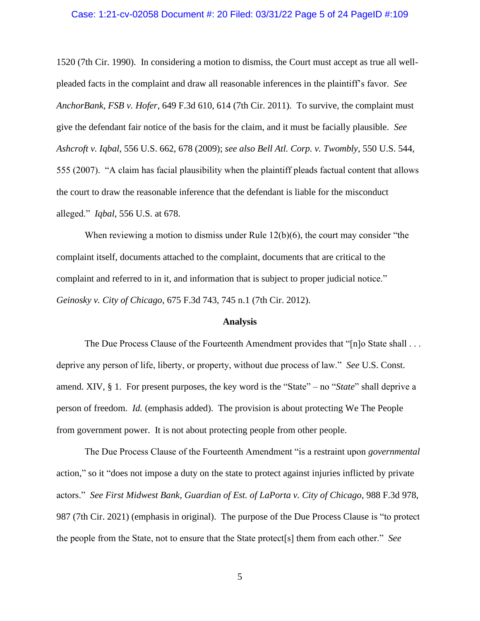## Case: 1:21-cv-02058 Document #: 20 Filed: 03/31/22 Page 5 of 24 PageID #:109

1520 (7th Cir. 1990). In considering a motion to dismiss, the Court must accept as true all wellpleaded facts in the complaint and draw all reasonable inferences in the plaintiff's favor. *See AnchorBank, FSB v. Hofer*, 649 F.3d 610, 614 (7th Cir. 2011). To survive, the complaint must give the defendant fair notice of the basis for the claim, and it must be facially plausible. *See Ashcroft v. Iqbal*, 556 U.S. 662, 678 (2009); *see also Bell Atl. Corp. v. Twombly*, 550 U.S. 544, 555 (2007). "A claim has facial plausibility when the plaintiff pleads factual content that allows the court to draw the reasonable inference that the defendant is liable for the misconduct alleged." *Iqbal*, 556 U.S. at 678.

When reviewing a motion to dismiss under Rule 12(b)(6), the court may consider "the complaint itself, documents attached to the complaint, documents that are critical to the complaint and referred to in it, and information that is subject to proper judicial notice." *Geinosky v. City of Chicago*, 675 F.3d 743, 745 n.1 (7th Cir. 2012).

#### **Analysis**

The Due Process Clause of the Fourteenth Amendment provides that "[n]o State shall . . . deprive any person of life, liberty, or property, without due process of law." *See* U.S. Const. amend. XIV, § 1. For present purposes, the key word is the "State" – no "*State*" shall deprive a person of freedom. *Id.* (emphasis added). The provision is about protecting We The People from government power. It is not about protecting people from other people.

The Due Process Clause of the Fourteenth Amendment "is a restraint upon *governmental* action," so it "does not impose a duty on the state to protect against injuries inflicted by private actors." *See First Midwest Bank, Guardian of Est. of LaPorta v. City of Chicago*, 988 F.3d 978, 987 (7th Cir. 2021) (emphasis in original). The purpose of the Due Process Clause is "to protect the people from the State, not to ensure that the State protect[s] them from each other." *See*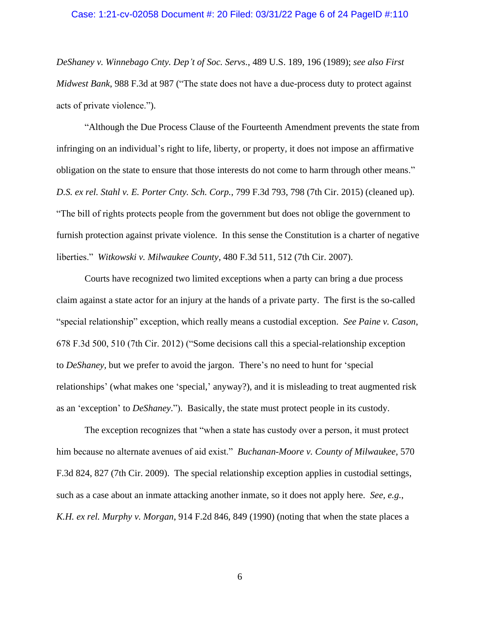## Case: 1:21-cv-02058 Document #: 20 Filed: 03/31/22 Page 6 of 24 PageID #:110

*DeShaney v. Winnebago Cnty. Dep't of Soc. Servs.*, 489 U.S. 189, 196 (1989); *see also First Midwest Bank*, 988 F.3d at 987 ("The state does not have a due-process duty to protect against acts of private violence.").

"Although the Due Process Clause of the Fourteenth Amendment prevents the state from infringing on an individual's right to life, liberty, or property, it does not impose an affirmative obligation on the state to ensure that those interests do not come to harm through other means." *D.S. ex rel. Stahl v. E. Porter Cnty. Sch. Corp.*, 799 F.3d 793, 798 (7th Cir. 2015) (cleaned up). "The bill of rights protects people from the government but does not oblige the government to furnish protection against private violence. In this sense the Constitution is a charter of negative liberties." *Witkowski v. Milwaukee County*, 480 F.3d 511, 512 (7th Cir. 2007).

Courts have recognized two limited exceptions when a party can bring a due process claim against a state actor for an injury at the hands of a private party. The first is the so-called "special relationship" exception, which really means a custodial exception. *See Paine v. Cason*, 678 F.3d 500, 510 (7th Cir. 2012) ("Some decisions call this a special-relationship exception to *DeShaney,* but we prefer to avoid the jargon. There's no need to hunt for 'special relationships' (what makes one 'special,' anyway?), and it is misleading to treat augmented risk as an 'exception' to *DeShaney*."). Basically, the state must protect people in its custody.

The exception recognizes that "when a state has custody over a person, it must protect him because no alternate avenues of aid exist." *Buchanan-Moore v. County of Milwaukee*, 570 F.3d 824, 827 (7th Cir. 2009). The special relationship exception applies in custodial settings, such as a case about an inmate attacking another inmate, so it does not apply here. *See, e.g.*, *K.H. ex rel. Murphy v. Morgan*, 914 F.2d 846, 849 (1990) (noting that when the state places a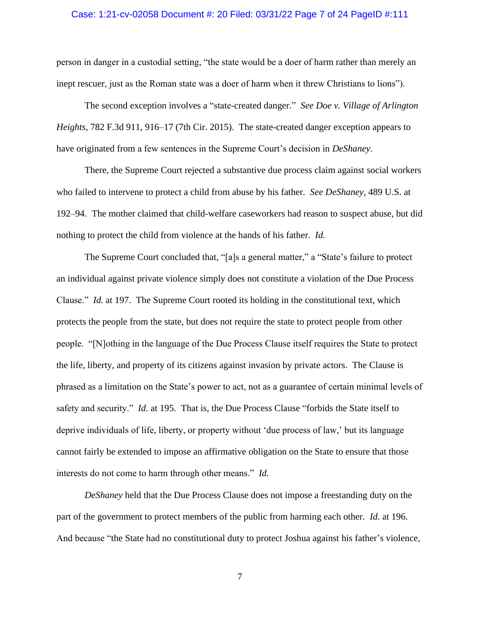#### Case: 1:21-cv-02058 Document #: 20 Filed: 03/31/22 Page 7 of 24 PageID #:111

person in danger in a custodial setting, "the state would be a doer of harm rather than merely an inept rescuer, just as the Roman state was a doer of harm when it threw Christians to lions").

The second exception involves a "state-created danger." *See Doe v. Village of Arlington Heights*, 782 F.3d 911, 916–17 (7th Cir. 2015). The state-created danger exception appears to have originated from a few sentences in the Supreme Court's decision in *DeShaney*.

There, the Supreme Court rejected a substantive due process claim against social workers who failed to intervene to protect a child from abuse by his father. *See DeShaney*, 489 U.S. at 192–94. The mother claimed that child-welfare caseworkers had reason to suspect abuse, but did nothing to protect the child from violence at the hands of his father. *Id.*

The Supreme Court concluded that, "[a]s a general matter," a "State's failure to protect an individual against private violence simply does not constitute a violation of the Due Process Clause." *Id.* at 197. The Supreme Court rooted its holding in the constitutional text, which protects the people from the state, but does not require the state to protect people from other people. "[N]othing in the language of the Due Process Clause itself requires the State to protect the life, liberty, and property of its citizens against invasion by private actors. The Clause is phrased as a limitation on the State's power to act, not as a guarantee of certain minimal levels of safety and security." *Id.* at 195. That is, the Due Process Clause "forbids the State itself to deprive individuals of life, liberty, or property without 'due process of law,' but its language cannot fairly be extended to impose an affirmative obligation on the State to ensure that those interests do not come to harm through other means." *Id.*

*DeShaney* held that the Due Process Clause does not impose a freestanding duty on the part of the government to protect members of the public from harming each other. *Id.* at 196. And because "the State had no constitutional duty to protect Joshua against his father's violence,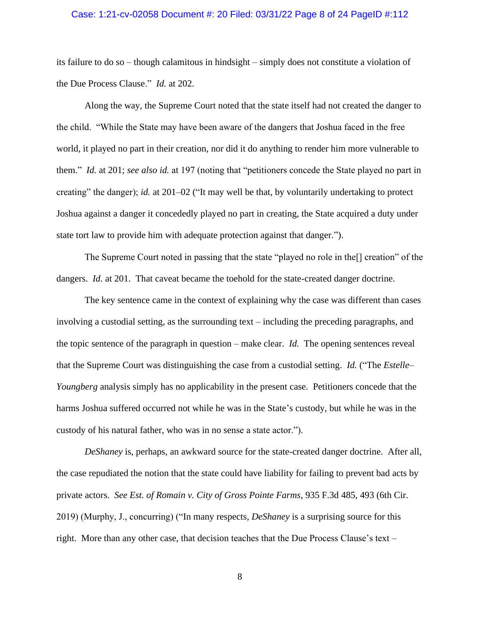#### Case: 1:21-cv-02058 Document #: 20 Filed: 03/31/22 Page 8 of 24 PageID #:112

its failure to do so – though calamitous in hindsight – simply does not constitute a violation of the Due Process Clause." *Id.* at 202.

Along the way, the Supreme Court noted that the state itself had not created the danger to the child. "While the State may have been aware of the dangers that Joshua faced in the free world, it played no part in their creation, nor did it do anything to render him more vulnerable to them." *Id.* at 201; *see also id.* at 197 (noting that "petitioners concede the State played no part in creating" the danger); *id.* at 201–02 ("It may well be that, by voluntarily undertaking to protect Joshua against a danger it concededly played no part in creating, the State acquired a duty under state tort law to provide him with adequate protection against that danger.").

The Supreme Court noted in passing that the state "played no role in the[] creation" of the dangers. *Id.* at 201. That caveat became the toehold for the state-created danger doctrine.

The key sentence came in the context of explaining why the case was different than cases involving a custodial setting, as the surrounding text – including the preceding paragraphs, and the topic sentence of the paragraph in question – make clear. *Id.* The opening sentences reveal that the Supreme Court was distinguishing the case from a custodial setting. *Id.* ("The *Estelle– Youngberg* analysis simply has no applicability in the present case. Petitioners concede that the harms Joshua suffered occurred not while he was in the State's custody, but while he was in the custody of his natural father, who was in no sense a state actor.").

*DeShaney* is, perhaps, an awkward source for the state-created danger doctrine. After all, the case repudiated the notion that the state could have liability for failing to prevent bad acts by private actors. *See Est. of Romain v. City of Gross Pointe Farms*, 935 F.3d 485, 493 (6th Cir. 2019) (Murphy, J., concurring) ("In many respects, *[DeShaney](https://1.next.westlaw.com/Link/Document/FullText?findType=Y&serNum=1989027114&pubNum=0000780&originatingDoc=Ia2883ee0beca11e9a85d952fcc023e60&refType=RP&originationContext=document&transitionType=DocumentItem&ppcid=83a39217113447e4abddf5ae581094b8&contextData=(sc.UserEnteredCitation))* is a surprising source for this right. More than any other case, that decision teaches that the Due Process Clause's text –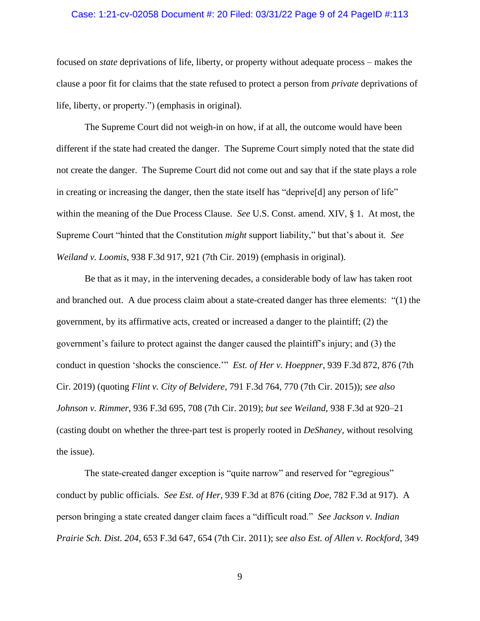#### Case: 1:21-cv-02058 Document #: 20 Filed: 03/31/22 Page 9 of 24 PageID #:113

focused on *state* deprivations of life, liberty, or property without adequate process – makes the clause a poor fit for claims that the state refused to protect a person from *private* deprivations of life, liberty, or property.") (emphasis in original).

The Supreme Court did not weigh-in on how, if at all, the outcome would have been different if the state had created the danger. The Supreme Court simply noted that the state did not create the danger. The Supreme Court did not come out and say that if the state plays a role in creating or increasing the danger, then the state itself has "deprive[d] any person of life" within the meaning of the Due Process Clause. *See* U.S. Const. amend. XIV, § 1. At most, the Supreme Court "hinted that the Constitution *might* support liability," but that's about it. *See Weiland v. Loomis*, 938 F.3d 917, 921 (7th Cir. 2019) (emphasis in original).

Be that as it may, in the intervening decades, a considerable body of law has taken root and branched out. A due process claim about a state-created danger has three elements: "(1) the government, by its affirmative acts, created or increased a danger to the plaintiff; (2) the government's failure to protect against the danger caused the plaintiff's injury; and (3) the conduct in question 'shocks the conscience.'" *Est. of Her v. Hoeppner*, 939 F.3d 872, 876 (7th Cir. 2019) (quoting *Flint v. City of Belvidere*, 791 F.3d 764, 770 (7th Cir. 2015)); *see also Johnson v. Rimmer*, 936 F.3d 695, 708 (7th Cir. 2019); *but see Weiland*, 938 F.3d at 920–21 (casting doubt on whether the three-part test is properly rooted in *DeShaney*, without resolving the issue).

The state-created danger exception is "quite narrow" and reserved for "egregious" conduct by public officials. *See Est. of Her*, 939 F.3d at 876 (citing *Doe*, 782 F.3d at 917). A person bringing a state created danger claim faces a "difficult road." *See Jackson v. Indian Prairie Sch. Dist. 204*, 653 F.3d 647, 654 (7th Cir. 2011); *see also Est. of Allen v. Rockford*, 349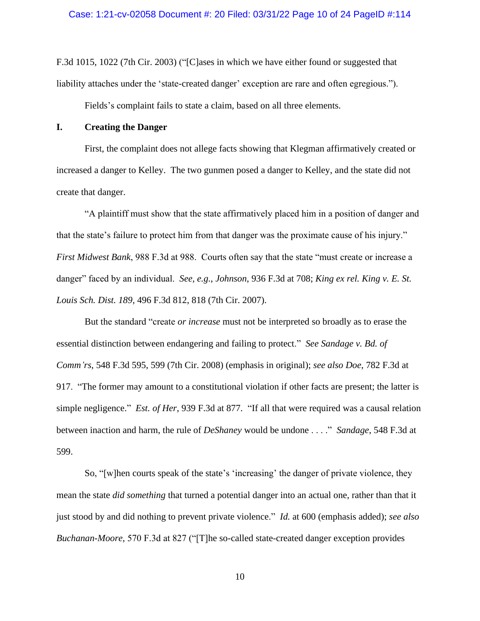F.3d 1015, 1022 (7th Cir. 2003) ("[C]ases in which we have either found or suggested that liability attaches under the 'state-created danger' exception are rare and often egregious.").

Fields's complaint fails to state a claim, based on all three elements.

## **I. Creating the Danger**

First, the complaint does not allege facts showing that Klegman affirmatively created or increased a danger to Kelley. The two gunmen posed a danger to Kelley, and the state did not create that danger.

"A plaintiff must show that the state affirmatively placed him in a position of danger and that the state's failure to protect him from that danger was the proximate cause of his injury." *First Midwest Bank*, 988 F.3d at 988. Courts often say that the state "must create or increase a danger" faced by an individual. *See, e.g.*, *Johnson*, 936 F.3d at 708; *King ex rel. King v. E. St. Louis Sch. Dist. 189*, 496 F.3d 812, 818 (7th Cir. 2007).

But the standard "create *or increase* must not be interpreted so broadly as to erase the essential distinction between endangering and failing to protect." *See Sandage v. Bd. of Comm'rs*, 548 F.3d 595, 599 (7th Cir. 2008) (emphasis in original); *see also Doe*, 782 F.3d at 917. "The former may amount to a constitutional violation if other facts are present; the latter is simple negligence." *Est. of Her*, 939 F.3d at 877. "If all that were required was a causal relation between inaction and harm, the rule of *DeShaney* would be undone . . . ." *Sandage*, 548 F.3d at 599.

So, "[w]hen courts speak of the state's 'increasing' the danger of private violence, they mean the state *did something* that turned a potential danger into an actual one, rather than that it just stood by and did nothing to prevent private violence." *Id.* at 600 (emphasis added); *see also Buchanan-Moore*, 570 F.3d at 827 ("[T]he so-called state-created danger exception provides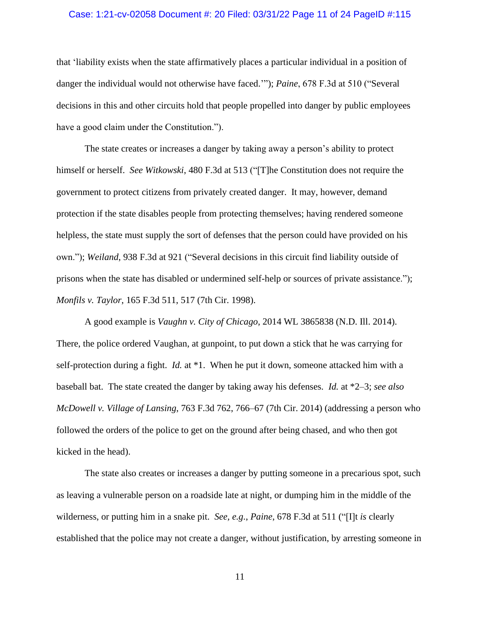#### Case: 1:21-cv-02058 Document #: 20 Filed: 03/31/22 Page 11 of 24 PageID #:115

that 'liability exists when the state affirmatively places a particular individual in a position of danger the individual would not otherwise have faced.'"); *Paine*, 678 F.3d at 510 ("Several decisions in this and other circuits hold that people propelled into danger by public employees have a good claim under the Constitution.").

The state creates or increases a danger by taking away a person's ability to protect himself or herself. *See Witkowski*, 480 F.3d at 513 ("[T]he Constitution does not require the government to protect citizens from privately created danger. It may, however, demand protection if the state disables people from protecting themselves; having rendered someone helpless, the state must supply the sort of defenses that the person could have provided on his own."); *Weiland*, 938 F.3d at 921 ("Several decisions in this circuit find liability outside of prisons when the state has disabled or undermined self-help or sources of private assistance."); *Monfils v. Taylor*, 165 F.3d 511, 517 (7th Cir. 1998).

A good example is *Vaughn v. City of Chicago*, 2014 WL 3865838 (N.D. Ill. 2014). There, the police ordered Vaughan, at gunpoint, to put down a stick that he was carrying for self-protection during a fight. *Id.* at \*1. When he put it down, someone attacked him with a baseball bat. The state created the danger by taking away his defenses. *Id.* at \*2–3; *see also McDowell v. Village of Lansing*, 763 F.3d 762, 766–67 (7th Cir. 2014) (addressing a person who followed the orders of the police to get on the ground after being chased, and who then got kicked in the head).

The state also creates or increases a danger by putting someone in a precarious spot, such as leaving a vulnerable person on a roadside late at night, or dumping him in the middle of the wilderness, or putting him in a snake pit. *See, e.g.*, *Paine*, 678 F.3d at 511 ("[I]t *is* clearly established that the police may not create a danger, without justification, by arresting someone in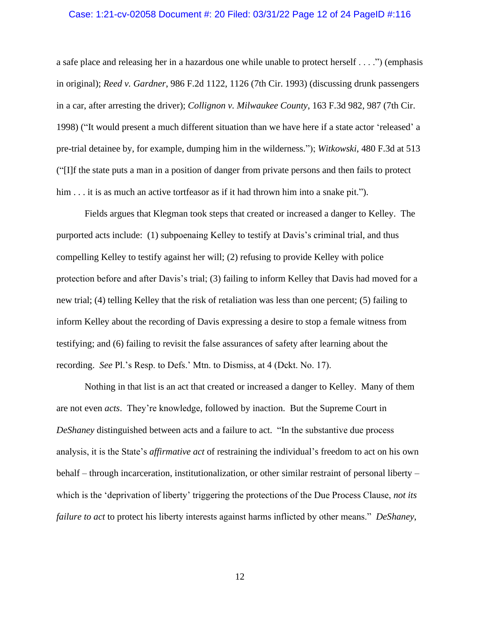#### Case: 1:21-cv-02058 Document #: 20 Filed: 03/31/22 Page 12 of 24 PageID #:116

a safe place and releasing her in a hazardous one while unable to protect herself . . . .") (emphasis in original); *Reed v. Gardner*, 986 F.2d 1122, 1126 (7th Cir. 1993) (discussing drunk passengers in a car, after arresting the driver); *Collignon v. Milwaukee County*, 163 F.3d 982, 987 (7th Cir. 1998) ("It would present a much different situation than we have here if a state actor 'released' a pre-trial detainee by, for example, dumping him in the wilderness."); *Witkowski*, 480 F.3d at 513 ("[I]f the state puts a man in a position of danger from private persons and then fails to protect him . . . it is as much an active tortfeasor as if it had thrown him into a snake pit.").

Fields argues that Klegman took steps that created or increased a danger to Kelley. The purported acts include: (1) subpoenaing Kelley to testify at Davis's criminal trial, and thus compelling Kelley to testify against her will; (2) refusing to provide Kelley with police protection before and after Davis's trial; (3) failing to inform Kelley that Davis had moved for a new trial; (4) telling Kelley that the risk of retaliation was less than one percent; (5) failing to inform Kelley about the recording of Davis expressing a desire to stop a female witness from testifying; and (6) failing to revisit the false assurances of safety after learning about the recording. *See* Pl.'s Resp. to Defs.' Mtn. to Dismiss, at 4 (Dckt. No. 17).

Nothing in that list is an act that created or increased a danger to Kelley. Many of them are not even *acts*. They're knowledge, followed by inaction. But the Supreme Court in *DeShaney* distinguished between acts and a failure to act. "In the substantive due process analysis, it is the State's *affirmative act* of restraining the individual's freedom to act on his own behalf – through incarceration, institutionalization, or other similar restraint of personal liberty – which is the 'deprivation of liberty' triggering the protections of the Due Process Clause, *not its failure to act* to protect his liberty interests against harms inflicted by other means." *DeShaney*,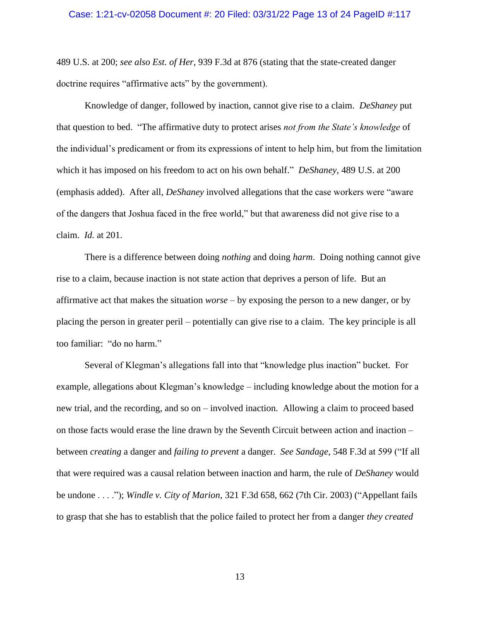489 U.S. at 200; *see also Est. of Her*, 939 F.3d at 876 (stating that the state-created danger doctrine requires "affirmative acts" by the government).

Knowledge of danger, followed by inaction, cannot give rise to a claim. *DeShaney* put that question to bed. "The affirmative duty to protect arises *not from the State's knowledge* of the individual's predicament or from its expressions of intent to help him, but from the limitation which it has imposed on his freedom to act on his own behalf." *DeShaney*, 489 U.S. at 200 (emphasis added). After all, *DeShaney* involved allegations that the case workers were "aware of the dangers that Joshua faced in the free world," but that awareness did not give rise to a claim. *Id.* at 201.

There is a difference between doing *nothing* and doing *harm*. Doing nothing cannot give rise to a claim, because inaction is not state action that deprives a person of life. But an affirmative act that makes the situation *worse* – by exposing the person to a new danger, or by placing the person in greater peril – potentially can give rise to a claim. The key principle is all too familiar: "do no harm."

Several of Klegman's allegations fall into that "knowledge plus inaction" bucket. For example, allegations about Klegman's knowledge – including knowledge about the motion for a new trial, and the recording, and so on – involved inaction. Allowing a claim to proceed based on those facts would erase the line drawn by the Seventh Circuit between action and inaction – between *creating* a danger and *failing to prevent* a danger. *See Sandage*, 548 F.3d at 599 ("If all that were required was a causal relation between inaction and harm, the rule of *DeShaney* would be undone . . . ."); *Windle v. City of Marion*, 321 F.3d 658, 662 (7th Cir. 2003) ("Appellant fails to grasp that she has to establish that the police failed to protect her from a danger *they created*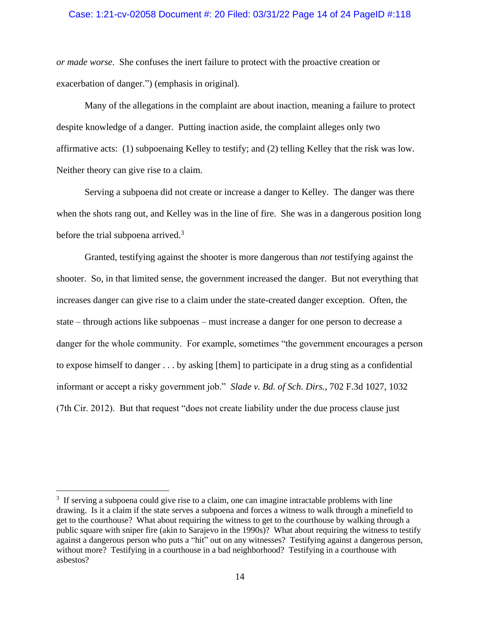### Case: 1:21-cv-02058 Document #: 20 Filed: 03/31/22 Page 14 of 24 PageID #:118

*or made worse*. She confuses the inert failure to protect with the proactive creation or exacerbation of danger.") (emphasis in original).

Many of the allegations in the complaint are about inaction, meaning a failure to protect despite knowledge of a danger. Putting inaction aside, the complaint alleges only two affirmative acts: (1) subpoenaing Kelley to testify; and (2) telling Kelley that the risk was low. Neither theory can give rise to a claim.

Serving a subpoena did not create or increase a danger to Kelley. The danger was there when the shots rang out, and Kelley was in the line of fire. She was in a dangerous position long before the trial subpoena arrived.<sup>3</sup>

Granted, testifying against the shooter is more dangerous than *not* testifying against the shooter. So, in that limited sense, the government increased the danger. But not everything that increases danger can give rise to a claim under the state-created danger exception. Often, the state – through actions like subpoenas – must increase a danger for one person to decrease a danger for the whole community. For example, sometimes "the government encourages a person to expose himself to danger . . . by asking [them] to participate in a drug sting as a confidential informant or accept a risky government job." *Slade v. Bd. of Sch. Dirs.*, 702 F.3d 1027, 1032 (7th Cir. 2012). But that request "does not create liability under the due process clause just

<sup>&</sup>lt;sup>3</sup> If serving a subpoena could give rise to a claim, one can imagine intractable problems with line drawing. Is it a claim if the state serves a subpoena and forces a witness to walk through a minefield to get to the courthouse? What about requiring the witness to get to the courthouse by walking through a public square with sniper fire (akin to Sarajevo in the 1990s)? What about requiring the witness to testify against a dangerous person who puts a "hit" out on any witnesses? Testifying against a dangerous person, without more? Testifying in a courthouse in a bad neighborhood? Testifying in a courthouse with asbestos?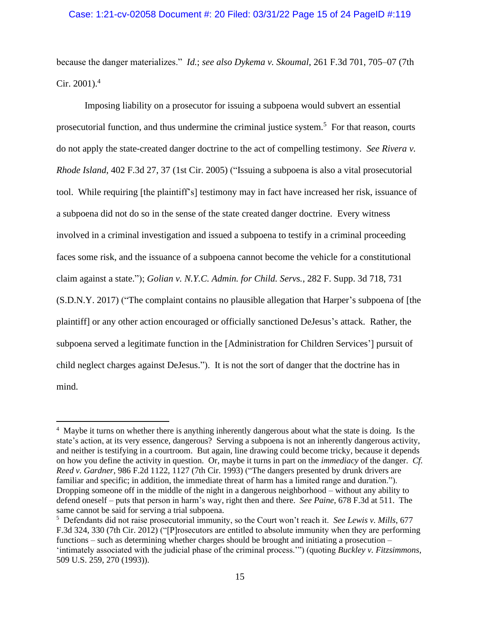### Case: 1:21-cv-02058 Document #: 20 Filed: 03/31/22 Page 15 of 24 PageID #:119

because the danger materializes." *Id.*; *see also Dykema v. Skoumal*, 261 F.3d 701, 705–07 (7th Cir. 2001). 4

Imposing liability on a prosecutor for issuing a subpoena would subvert an essential prosecutorial function, and thus undermine the criminal justice system.<sup>5</sup> For that reason, courts do not apply the state-created danger doctrine to the act of compelling testimony. *See Rivera v. Rhode Island*, 402 F.3d 27, 37 (1st Cir. 2005) ("Issuing a subpoena is also a vital prosecutorial tool. While requiring [the plaintiff's] testimony may in fact have increased her risk, issuance of a subpoena did not do so in the sense of the state created danger doctrine. Every witness involved in a criminal investigation and issued a subpoena to testify in a criminal proceeding faces some risk, and the issuance of a subpoena cannot become the vehicle for a constitutional claim against a state."); *Golian v. N.Y.C. Admin. for Child. Servs.*, 282 F. Supp. 3d 718, 731 (S.D.N.Y. 2017) ("The complaint contains no plausible allegation that Harper's subpoena of [the plaintiff] or any other action encouraged or officially sanctioned DeJesus's attack. Rather, the subpoena served a legitimate function in the [Administration for Children Services'] pursuit of child neglect charges against DeJesus."). It is not the sort of danger that the doctrine has in mind.

<sup>&</sup>lt;sup>4</sup> Maybe it turns on whether there is anything inherently dangerous about what the state is doing. Is the state's action, at its very essence, dangerous? Serving a subpoena is not an inherently dangerous activity, and neither is testifying in a courtroom. But again, line drawing could become tricky, because it depends on how you define the activity in question. Or, maybe it turns in part on the *immediacy* of the danger. *Cf. Reed v. Gardner*, 986 F.2d 1122, 1127 (7th Cir. 1993) ("The dangers presented by drunk drivers are familiar and specific; in addition, the immediate threat of harm has a limited range and duration."). Dropping someone off in the middle of the night in a dangerous neighborhood – without any ability to defend oneself – puts that person in harm's way, right then and there. *See Paine*, 678 F.3d at 511. The same cannot be said for serving a trial subpoena.

<sup>5</sup> Defendants did not raise prosecutorial immunity, so the Court won't reach it. *See Lewis v. Mills*, 677 F.3d 324, 330 (7th Cir. 2012) ("[P]rosecutors are entitled to absolute immunity when they are performing functions – such as determining whether charges should be brought and initiating a prosecution – 'intimately associated with the judicial phase of the criminal process.'") (quoting *Buckley v. Fitzsimmons*, 509 U.S. 259, 270 (1993)).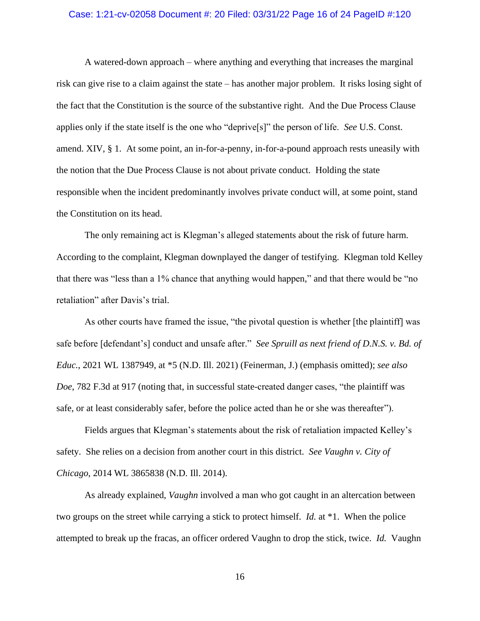#### Case: 1:21-cv-02058 Document #: 20 Filed: 03/31/22 Page 16 of 24 PageID #:120

A watered-down approach – where anything and everything that increases the marginal risk can give rise to a claim against the state – has another major problem. It risks losing sight of the fact that the Constitution is the source of the substantive right. And the Due Process Clause applies only if the state itself is the one who "deprive[s]" the person of life. *See* U.S. Const. amend. XIV, § 1. At some point, an in-for-a-penny, in-for-a-pound approach rests uneasily with the notion that the Due Process Clause is not about private conduct. Holding the state responsible when the incident predominantly involves private conduct will, at some point, stand the Constitution on its head.

The only remaining act is Klegman's alleged statements about the risk of future harm. According to the complaint, Klegman downplayed the danger of testifying. Klegman told Kelley that there was "less than a 1% chance that anything would happen," and that there would be "no retaliation" after Davis's trial.

As other courts have framed the issue, "the pivotal question is whether [the plaintiff] was safe before [defendant's] conduct and unsafe after." *See Spruill as next friend of D.N.S. v. Bd. of Educ.*, 2021 WL 1387949, at \*5 (N.D. Ill. 2021) (Feinerman, J.) (emphasis omitted); *see also Doe*, 782 F.3d at 917 (noting that, in successful state-created danger cases, "the plaintiff was safe, or at least considerably safer, before the police acted than he or she was thereafter").

Fields argues that Klegman's statements about the risk of retaliation impacted Kelley's safety. She relies on a decision from another court in this district. *See Vaughn v. City of Chicago*, 2014 WL 3865838 (N.D. Ill. 2014).

As already explained, *Vaughn* involved a man who got caught in an altercation between two groups on the street while carrying a stick to protect himself. *Id.* at \*1. When the police attempted to break up the fracas, an officer ordered Vaughn to drop the stick, twice. *Id.* Vaughn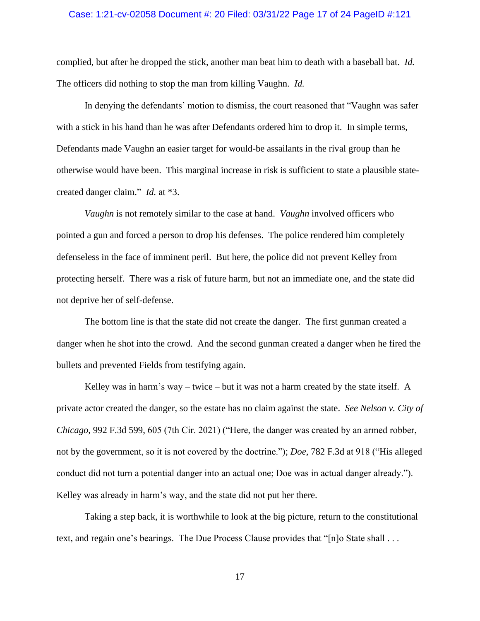#### Case: 1:21-cv-02058 Document #: 20 Filed: 03/31/22 Page 17 of 24 PageID #:121

complied, but after he dropped the stick, another man beat him to death with a baseball bat. *Id.* The officers did nothing to stop the man from killing Vaughn. *Id.*

In denying the defendants' motion to dismiss, the court reasoned that "Vaughn was safer with a stick in his hand than he was after Defendants ordered him to drop it. In simple terms, Defendants made Vaughn an easier target for would-be assailants in the rival group than he otherwise would have been. This marginal increase in risk is sufficient to state a plausible statecreated danger claim." *Id.* at \*3.

*Vaughn* is not remotely similar to the case at hand. *Vaughn* involved officers who pointed a gun and forced a person to drop his defenses. The police rendered him completely defenseless in the face of imminent peril. But here, the police did not prevent Kelley from protecting herself. There was a risk of future harm, but not an immediate one, and the state did not deprive her of self-defense.

The bottom line is that the state did not create the danger. The first gunman created a danger when he shot into the crowd. And the second gunman created a danger when he fired the bullets and prevented Fields from testifying again.

Kelley was in harm's way – twice – but it was not a harm created by the state itself. A private actor created the danger, so the estate has no claim against the state. *See Nelson v. City of Chicago*, 992 F.3d 599, 605 (7th Cir. 2021) ("Here, the danger was created by an armed robber, not by the government, so it is not covered by the doctrine."); *Doe*, 782 F.3d at 918 ("His alleged conduct did not turn a potential danger into an actual one; Doe was in actual danger already."). Kelley was already in harm's way, and the state did not put her there.

Taking a step back, it is worthwhile to look at the big picture, return to the constitutional text, and regain one's bearings. The Due Process Clause provides that "[n]o State shall . . .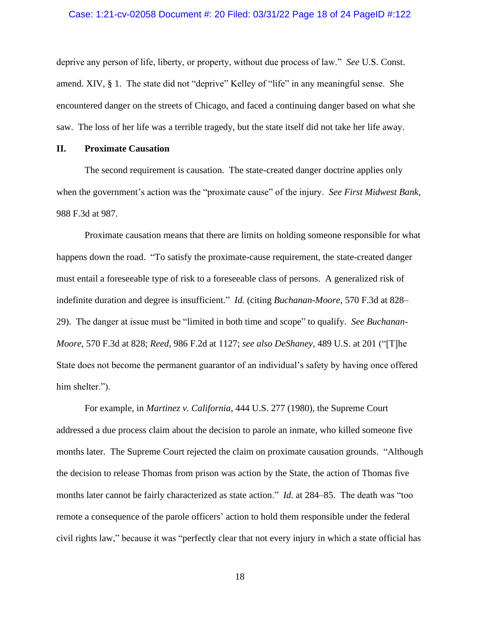#### Case: 1:21-cv-02058 Document #: 20 Filed: 03/31/22 Page 18 of 24 PageID #:122

deprive any person of life, liberty, or property, without due process of law." *See* U.S. Const. amend. XIV, § 1. The state did not "deprive" Kelley of "life" in any meaningful sense. She encountered danger on the streets of Chicago, and faced a continuing danger based on what she saw. The loss of her life was a terrible tragedy, but the state itself did not take her life away.

### **II. Proximate Causation**

The second requirement is causation. The state-created danger doctrine applies only when the government's action was the "proximate cause" of the injury. *See First Midwest Bank*, 988 F.3d at 987.

Proximate causation means that there are limits on holding someone responsible for what happens down the road. "To satisfy the proximate-cause requirement, the state-created danger must entail a foreseeable type of risk to a foreseeable class of persons. A generalized risk of indefinite duration and degree is insufficient." *Id.* (citing *Buchanan-Moore*, 570 F.3d at 828– 29). The danger at issue must be "limited in both time and scope" to qualify. *See Buchanan-Moore*, 570 F.3d at 828; *Reed*, 986 F.2d at 1127; *see also DeShaney*, 489 U.S. at 201 ("[T]he State does not become the permanent guarantor of an individual's safety by having once offered him shelter.").

For example, in *Martinez v. California*, 444 U.S. 277 (1980), the Supreme Court addressed a due process claim about the decision to parole an inmate, who killed someone five months later. The Supreme Court rejected the claim on proximate causation grounds. "Although the decision to release Thomas from prison was action by the State, the action of Thomas five months later cannot be fairly characterized as state action." *Id.* at 284–85. The death was "too remote a consequence of the parole officers' action to hold them responsible under the federal civil rights law," because it was "perfectly clear that not every injury in which a state official has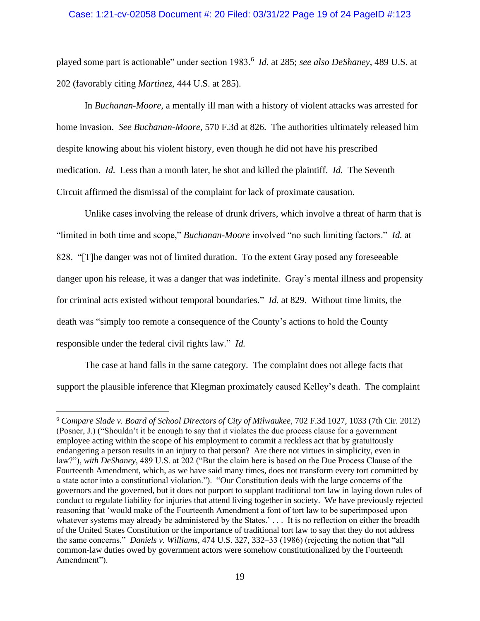### Case: 1:21-cv-02058 Document #: 20 Filed: 03/31/22 Page 19 of 24 PageID #:123

played some part is actionable" under section 1983.<sup>6</sup> *Id.* at 285; *see also DeShaney*, 489 U.S. at 202 (favorably citing *Martinez*, 444 U.S. at 285).

In *Buchanan-Moore*, a mentally ill man with a history of violent attacks was arrested for home invasion. *See Buchanan-Moore*, 570 F.3d at 826. The authorities ultimately released him despite knowing about his violent history, even though he did not have his prescribed medication. *Id.* Less than a month later, he shot and killed the plaintiff. *Id.* The Seventh Circuit affirmed the dismissal of the complaint for lack of proximate causation.

Unlike cases involving the release of drunk drivers, which involve a threat of harm that is "limited in both time and scope," *Buchanan-Moore* involved "no such limiting factors." *Id.* at 828. "[T]he danger was not of limited duration. To the extent Gray posed any foreseeable danger upon his release, it was a danger that was indefinite. Gray's mental illness and propensity for criminal acts existed without temporal boundaries." *Id.* at 829. Without time limits, the death was "simply too remote a consequence of the County's actions to hold the County responsible under the federal civil rights law." *Id.* 

The case at hand falls in the same category. The complaint does not allege facts that support the plausible inference that Klegman proximately caused Kelley's death. The complaint

<sup>6</sup> *Compare Slade v. Board of School Directors of City of Milwaukee*, 702 F.3d 1027, 1033 (7th Cir. 2012) (Posner, J.) ("Shouldn't it be enough to say that it violates the due process clause for a government employee acting within the scope of his employment to commit a reckless act that by gratuitously endangering a person results in an injury to that person? Are there not virtues in simplicity, even in law?"), *with DeShaney*, 489 U.S. at 202 ("But the claim here is based on the Due Process Clause of the Fourteenth Amendment, which, as we have said many times, does not transform every tort committed by a state actor into a constitutional violation."). "Our Constitution deals with the large concerns of the governors and the governed, but it does not purport to supplant traditional tort law in laying down rules of conduct to regulate liability for injuries that attend living together in society. We have previously rejected reasoning that 'would make of the Fourteenth Amendment a font of tort law to be superimposed upon whatever systems may already be administered by the States.'... It is no reflection on either the breadth of the United States Constitution or the importance of traditional tort law to say that they do not address the same concerns." *Daniels v. Williams*, 474 U.S. 327, 332–33 (1986) (rejecting the notion that "all common-law duties owed by government actors were somehow constitutionalized by the Fourteenth Amendment").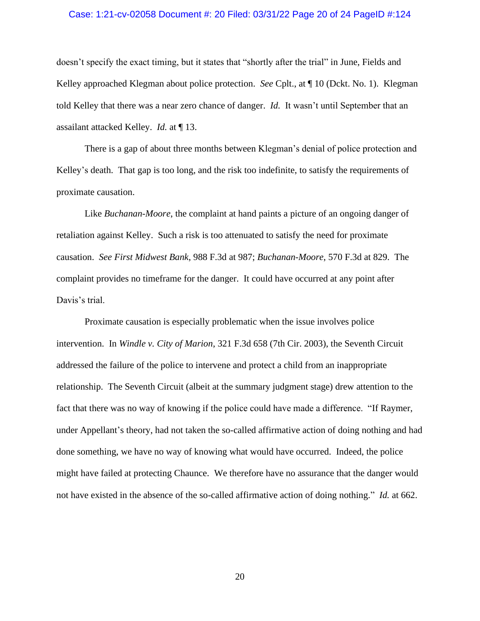#### Case: 1:21-cv-02058 Document #: 20 Filed: 03/31/22 Page 20 of 24 PageID #:124

doesn't specify the exact timing, but it states that "shortly after the trial" in June, Fields and Kelley approached Klegman about police protection. *See* Cplt., at ¶ 10 (Dckt. No. 1). Klegman told Kelley that there was a near zero chance of danger. *Id.* It wasn't until September that an assailant attacked Kelley. *Id.* at ¶ 13.

There is a gap of about three months between Klegman's denial of police protection and Kelley's death. That gap is too long, and the risk too indefinite, to satisfy the requirements of proximate causation.

Like *Buchanan-Moore*, the complaint at hand paints a picture of an ongoing danger of retaliation against Kelley. Such a risk is too attenuated to satisfy the need for proximate causation. *See First Midwest Bank*, 988 F.3d at 987; *Buchanan-Moore*, 570 F.3d at 829. The complaint provides no timeframe for the danger. It could have occurred at any point after Davis's trial.

Proximate causation is especially problematic when the issue involves police intervention. In *Windle v. City of Marion*, 321 F.3d 658 (7th Cir. 2003), the Seventh Circuit addressed the failure of the police to intervene and protect a child from an inappropriate relationship. The Seventh Circuit (albeit at the summary judgment stage) drew attention to the fact that there was no way of knowing if the police could have made a difference. "If Raymer, under Appellant's theory, had not taken the so-called affirmative action of doing nothing and had done something, we have no way of knowing what would have occurred. Indeed, the police might have failed at protecting Chaunce. We therefore have no assurance that the danger would not have existed in the absence of the so-called affirmative action of doing nothing." *Id.* at 662.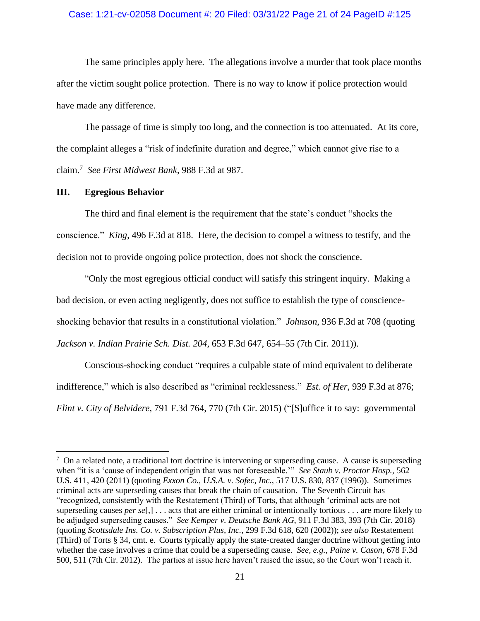### Case: 1:21-cv-02058 Document #: 20 Filed: 03/31/22 Page 21 of 24 PageID #:125

The same principles apply here. The allegations involve a murder that took place months after the victim sought police protection. There is no way to know if police protection would have made any difference.

The passage of time is simply too long, and the connection is too attenuated. At its core, the complaint alleges a "risk of indefinite duration and degree," which cannot give rise to a claim.<sup>7</sup> *See First Midwest Bank*, 988 F.3d at 987.

#### **III. Egregious Behavior**

The third and final element is the requirement that the state's conduct "shocks the conscience." *King*, 496 F.3d at 818. Here, the decision to compel a witness to testify, and the decision not to provide ongoing police protection, does not shock the conscience.

"Only the most egregious official conduct will satisfy this stringent inquiry. Making a bad decision, or even acting negligently, does not suffice to establish the type of conscienceshocking behavior that results in a constitutional violation." *Johnson*, 936 F.3d at 708 (quoting *Jackson v. Indian Prairie Sch. Dist. 204*, 653 F.3d 647, 654–55 (7th Cir. 2011)).

Conscious-shocking conduct "requires a culpable state of mind equivalent to deliberate indifference," which is also described as "criminal recklessness." *Est. of Her*, 939 F.3d at 876; *Flint v. City of Belvidere*, 791 F.3d 764, 770 (7th Cir. 2015) ("[S]uffice it to say: governmental

 $7$  On a related note, a traditional tort doctrine is intervening or superseding cause. A cause is superseding when "it is a 'cause of independent origin that was not foreseeable.'" *See Staub v. Proctor Hosp.*, 562 U.S. 411, 420 (2011) (quoting *Exxon Co., U.S.A. v. Sofec, Inc.*, 517 U.S. 830, 837 (1996)). Sometimes criminal acts are superseding causes that break the chain of causation. The Seventh Circuit has "recognized, consistently with the Restatement (Third) of Torts, that although 'criminal acts are not superseding causes *per se*[,] . . . acts that are either criminal or intentionally tortious . . . are more likely to be adjudged superseding causes." *See Kemper v. Deutsche Bank AG*, 911 F.3d 383, 393 (7th Cir. 2018) (quoting *Scottsdale Ins. Co. v. Subscription Plus, Inc.*, 299 F.3d 618, 620 (2002)); *see also* Restatement (Third) of Torts § 34, cmt. e. Courts typically apply the state-created danger doctrine without getting into whether the case involves a crime that could be a superseding cause. *See, e.g.*, *Paine v. Cason*, 678 F.3d 500, 511 (7th Cir. 2012). The parties at issue here haven't raised the issue, so the Court won't reach it.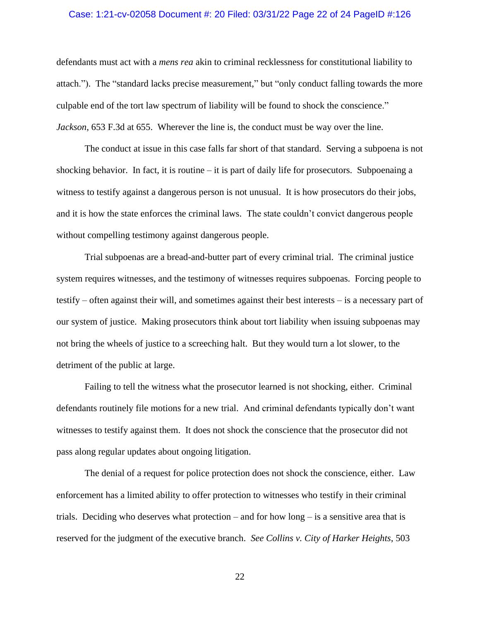#### Case: 1:21-cv-02058 Document #: 20 Filed: 03/31/22 Page 22 of 24 PageID #:126

defendants must act with a *mens rea* akin to criminal recklessness for constitutional liability to attach."). The "standard lacks precise measurement," but "only conduct falling towards the more culpable end of the tort law spectrum of liability will be found to shock the conscience." *Jackson*, 653 F.3d at 655. Wherever the line is, the conduct must be way over the line.

The conduct at issue in this case falls far short of that standard. Serving a subpoena is not shocking behavior. In fact, it is routine – it is part of daily life for prosecutors. Subpoenaing a witness to testify against a dangerous person is not unusual. It is how prosecutors do their jobs, and it is how the state enforces the criminal laws. The state couldn't convict dangerous people without compelling testimony against dangerous people.

Trial subpoenas are a bread-and-butter part of every criminal trial. The criminal justice system requires witnesses, and the testimony of witnesses requires subpoenas. Forcing people to testify – often against their will, and sometimes against their best interests – is a necessary part of our system of justice. Making prosecutors think about tort liability when issuing subpoenas may not bring the wheels of justice to a screeching halt. But they would turn a lot slower, to the detriment of the public at large.

Failing to tell the witness what the prosecutor learned is not shocking, either. Criminal defendants routinely file motions for a new trial. And criminal defendants typically don't want witnesses to testify against them. It does not shock the conscience that the prosecutor did not pass along regular updates about ongoing litigation.

The denial of a request for police protection does not shock the conscience, either. Law enforcement has a limited ability to offer protection to witnesses who testify in their criminal trials. Deciding who deserves what protection – and for how long – is a sensitive area that is reserved for the judgment of the executive branch. *See Collins v. City of Harker Heights*, 503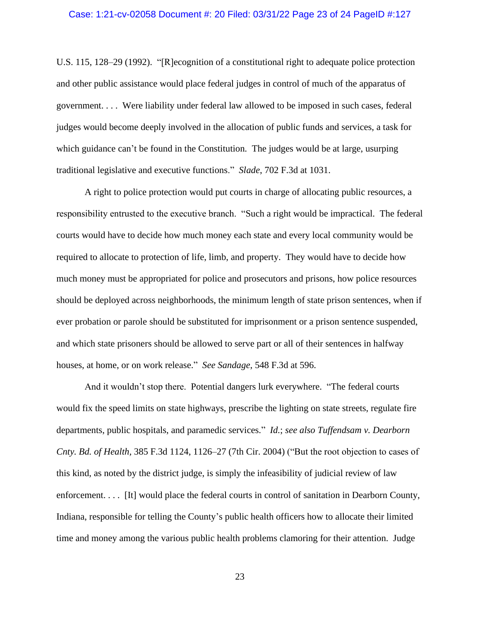## Case: 1:21-cv-02058 Document #: 20 Filed: 03/31/22 Page 23 of 24 PageID #:127

U.S. 115, 128–29 (1992). "[R]ecognition of a constitutional right to adequate police protection and other public assistance would place federal judges in control of much of the apparatus of government. . . . Were liability under federal law allowed to be imposed in such cases, federal judges would become deeply involved in the allocation of public funds and services, a task for which guidance can't be found in the Constitution. The judges would be at large, usurping traditional legislative and executive functions." *Slade*, 702 F.3d at 1031.

A right to police protection would put courts in charge of allocating public resources, a responsibility entrusted to the executive branch. "Such a right would be impractical. The federal courts would have to decide how much money each state and every local community would be required to allocate to protection of life, limb, and property. They would have to decide how much money must be appropriated for police and prosecutors and prisons, how police resources should be deployed across neighborhoods, the minimum length of state prison sentences, when if ever probation or parole should be substituted for imprisonment or a prison sentence suspended, and which state prisoners should be allowed to serve part or all of their sentences in halfway houses, at home, or on work release." *See Sandage*, 548 F.3d at 596.

And it wouldn't stop there. Potential dangers lurk everywhere. "The federal courts would fix the speed limits on state highways, prescribe the lighting on state streets, regulate fire departments, public hospitals, and paramedic services." *Id.*; *see also [Tuffendsam](https://1.next.westlaw.com/Link/Document/FullText?findType=Y&serNum=2005335661&pubNum=506&originatingDoc=Ia0c7d418ba0b11ddb5cbad29a280d47c&refType=RP&fi=co_pp_sp_506_1126&originationContext=document&transitionType=DocumentItem&ppcid=e304c3bccb3b4481a231de86fab2e1b8&contextData=(sc.UserEnteredCitation)#co_pp_sp_506_1126) v. Dearborn Cnty. Bd. of Health,* 385 F.3d 1124, [1126–27](https://1.next.westlaw.com/Link/Document/FullText?findType=Y&serNum=2005335661&pubNum=506&originatingDoc=Ia0c7d418ba0b11ddb5cbad29a280d47c&refType=RP&fi=co_pp_sp_506_1126&originationContext=document&transitionType=DocumentItem&ppcid=e304c3bccb3b4481a231de86fab2e1b8&contextData=(sc.UserEnteredCitation)#co_pp_sp_506_1126) (7th Cir. 2004) ("But the root objection to cases of this kind, as noted by the district judge, is simply the infeasibility of judicial review of law enforcement. . . . [It] would place the federal courts in control of sanitation in Dearborn County, Indiana, responsible for telling the County's public health officers how to allocate their limited time and money among the various public health problems clamoring for their attention. Judge